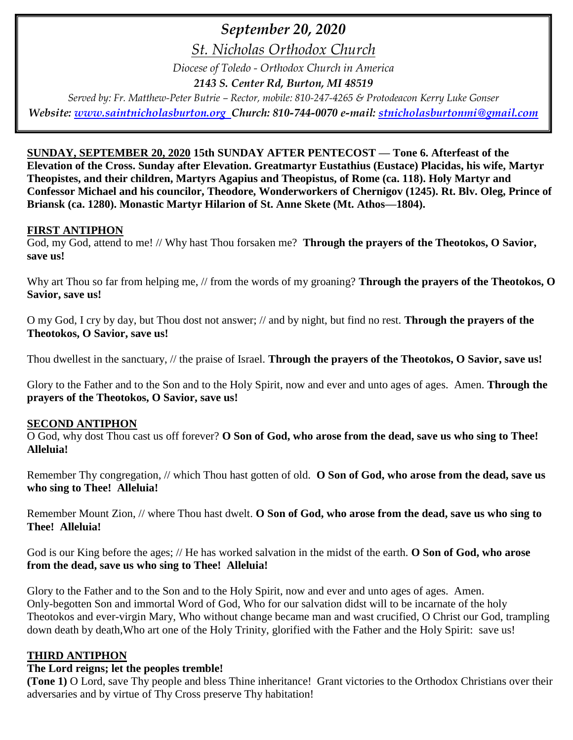# *September 20, 2020*

*St. Nicholas Orthodox Church*

*Diocese of Toledo - Orthodox Church in America*

*2143 S. Center Rd, Burton, MI 48519*

*Served by: Fr. Matthew-Peter Butrie – Rector, mobile: 810-247-4265 & Protodeacon Kerry Luke Gonser Website: [www.saintnicholasburton.org](http://www.saintnicholasburton.org/) Church: 810-744-0070 e-mail: [stnicholasburtonmi@gmail.com](mailto:stnicholasburtonmi@gmail.com)*

**SUNDAY, SEPTEMBER 20, 2020 15th SUNDAY AFTER PENTECOST — Tone 6. Afterfeast of the Elevation of the Cross. Sunday after Elevation. Greatmartyr Eustathius (Eustace) Placidas, his wife, Martyr Theopistes, and their children, Martyrs Agapius and Theopistus, of Rome (ca. 118). Holy Martyr and Confessor Michael and his councilor, Theodore, Wonderworkers of Chernigov (1245). Rt. Blv. Oleg, Prince of Briansk (ca. 1280). Monastic Martyr Hilarion of St. Anne Skete (Mt. Athos—1804).**

#### **FIRST ANTIPHON**

God, my God, attend to me! // Why hast Thou forsaken me? **Through the prayers of the Theotokos, O Savior, save us!**

Why art Thou so far from helping me, // from the words of my groaning? **Through the prayers of the Theotokos, O Savior, save us!**

O my God, I cry by day, but Thou dost not answer; // and by night, but find no rest. **Through the prayers of the Theotokos, O Savior, save us!**

Thou dwellest in the sanctuary, // the praise of Israel. **Through the prayers of the Theotokos, O Savior, save us!**

Glory to the Father and to the Son and to the Holy Spirit, now and ever and unto ages of ages. Amen. **Through the prayers of the Theotokos, O Savior, save us!**

#### **SECOND ANTIPHON**

O God, why dost Thou cast us off forever? **O Son of God, who arose from the dead, save us who sing to Thee! Alleluia!**

Remember Thy congregation, // which Thou hast gotten of old. **O Son of God, who arose from the dead, save us who sing to Thee! Alleluia!**

Remember Mount Zion, // where Thou hast dwelt. **O Son of God, who arose from the dead, save us who sing to Thee! Alleluia!**

God is our King before the ages; // He has worked salvation in the midst of the earth. **O Son of God, who arose from the dead, save us who sing to Thee! Alleluia!**

Glory to the Father and to the Son and to the Holy Spirit, now and ever and unto ages of ages. Amen. Only-begotten Son and immortal Word of God, Who for our salvation didst will to be incarnate of the holy Theotokos and ever-virgin Mary, Who without change became man and wast crucified, O Christ our God, trampling down death by death,Who art one of the Holy Trinity, glorified with the Father and the Holy Spirit: save us!

## **THIRD ANTIPHON**

## **The Lord reigns; let the peoples tremble!**

**(Tone 1)** O Lord, save Thy people and bless Thine inheritance! Grant victories to the Orthodox Christians over their adversaries and by virtue of Thy Cross preserve Thy habitation!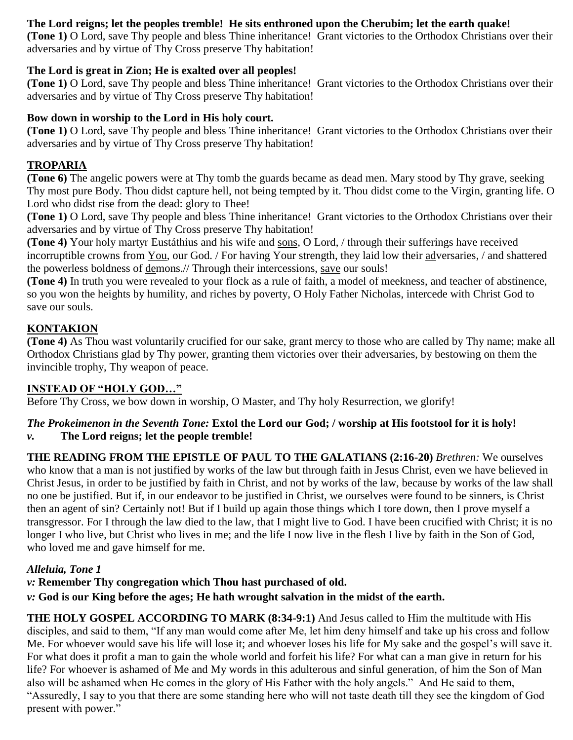## **The Lord reigns; let the peoples tremble! He sits enthroned upon the Cherubim; let the earth quake!**

**(Tone 1)** O Lord, save Thy people and bless Thine inheritance! Grant victories to the Orthodox Christians over their adversaries and by virtue of Thy Cross preserve Thy habitation!

## **The Lord is great in Zion; He is exalted over all peoples!**

**(Tone 1)** O Lord, save Thy people and bless Thine inheritance! Grant victories to the Orthodox Christians over their adversaries and by virtue of Thy Cross preserve Thy habitation!

#### **Bow down in worship to the Lord in His holy court.**

**(Tone 1)** O Lord, save Thy people and bless Thine inheritance! Grant victories to the Orthodox Christians over their adversaries and by virtue of Thy Cross preserve Thy habitation!

### **TROPARIA**

**(Tone 6)** The angelic powers were at Thy tomb the guards became as dead men. Mary stood by Thy grave, seeking Thy most pure Body. Thou didst capture hell, not being tempted by it. Thou didst come to the Virgin, granting life. O Lord who didst rise from the dead: glory to Thee!

**(Tone 1)** O Lord, save Thy people and bless Thine inheritance! Grant victories to the Orthodox Christians over their adversaries and by virtue of Thy Cross preserve Thy habitation!

**(Tone 4)** Your holy martyr Eustáthius and his wife and sons, O Lord, / through their sufferings have received incorruptible crowns from You, our God. / For having Your strength, they laid low their adversaries, / and shattered the powerless boldness of demons.// Through their intercessions, save our souls!

**(Tone 4)** In truth you were revealed to your flock as a rule of faith, a model of meekness, and teacher of abstinence, so you won the heights by humility, and riches by poverty, O Holy Father Nicholas, intercede with Christ God to save our souls.

## **KONTAKION**

**(Tone 4)** As Thou wast voluntarily crucified for our sake, grant mercy to those who are called by Thy name; make all Orthodox Christians glad by Thy power, granting them victories over their adversaries, by bestowing on them the invincible trophy, Thy weapon of peace.

## **INSTEAD OF "HOLY GOD…"**

Before Thy Cross, we bow down in worship, O Master, and Thy holy Resurrection, we glorify!

#### *The Prokeimenon in the Seventh Tone:* **Extol the Lord our God; / worship at His footstool for it is holy!** *v.* **The Lord reigns; let the people tremble!**

**THE READING FROM THE EPISTLE OF PAUL TO THE GALATIANS (2:16-20)** *Brethren:* We ourselves who know that a man is not justified by works of the law but through faith in Jesus Christ, even we have believed in Christ Jesus, in order to be justified by faith in Christ, and not by works of the law, because by works of the law shall no one be justified. But if, in our endeavor to be justified in Christ, we ourselves were found to be sinners, is Christ then an agent of sin? Certainly not! But if I build up again those things which I tore down, then I prove myself a transgressor. For I through the law died to the law, that I might live to God. I have been crucified with Christ; it is no longer I who live, but Christ who lives in me; and the life I now live in the flesh I live by faith in the Son of God, who loved me and gave himself for me.

## *Alleluia, Tone 1*

## *v:* **Remember Thy congregation which Thou hast purchased of old.**

#### *v:* **God is our King before the ages; He hath wrought salvation in the midst of the earth.**

**THE HOLY GOSPEL ACCORDING TO MARK (8:34-9:1)** And Jesus called to Him the multitude with His disciples, and said to them, "If any man would come after Me, let him deny himself and take up his cross and follow Me. For whoever would save his life will lose it; and whoever loses his life for My sake and the gospel's will save it. For what does it profit a man to gain the whole world and forfeit his life? For what can a man give in return for his life? For whoever is ashamed of Me and My words in this adulterous and sinful generation, of him the Son of Man also will be ashamed when He comes in the glory of His Father with the holy angels." And He said to them, "Assuredly, I say to you that there are some standing here who will not taste death till they see the kingdom of God present with power."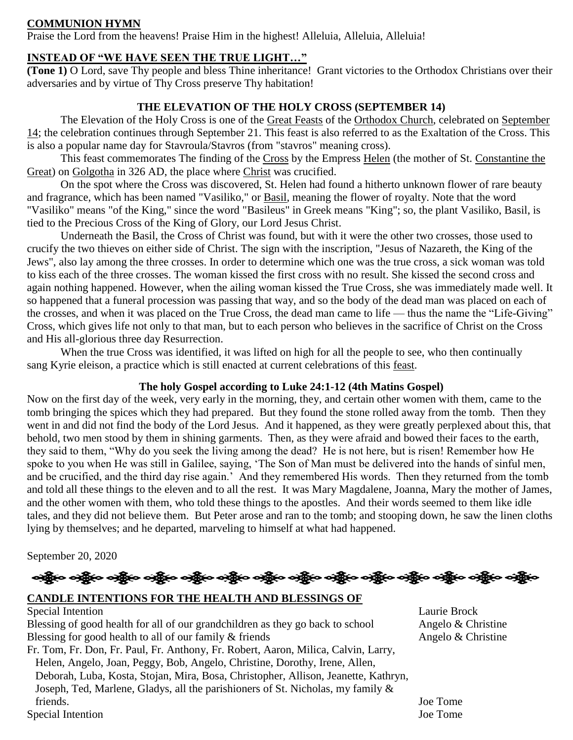#### **COMMUNION HYMN**

Praise the Lord from the heavens! Praise Him in the highest! Alleluia, Alleluia, Alleluia!

#### **INSTEAD OF "WE HAVE SEEN THE TRUE LIGHT…"**

**(Tone 1)** O Lord, save Thy people and bless Thine inheritance! Grant victories to the Orthodox Christians over their adversaries and by virtue of Thy Cross preserve Thy habitation!

#### **THE ELEVATION OF THE HOLY CROSS (SEPTEMBER 14)**

The Elevation of the Holy Cross is one of the [Great Feasts](https://orthodoxwiki.org/Great_Feasts) of the [Orthodox Church,](https://orthodoxwiki.org/Orthodox_Church) celebrated on [September](https://orthodoxwiki.org/September_14)  [14;](https://orthodoxwiki.org/September_14) the celebration continues through September 21. This feast is also referred to as the Exaltation of the Cross. This is also a popular name day for Stavroula/Stavros (from "stavros" meaning cross).

This feast commemorates The finding of the [Cross](https://orthodoxwiki.org/Cross) by the Empress [Helen](https://orthodoxwiki.org/Helen) (the mother of St. Constantine the [Great\)](https://orthodoxwiki.org/Constantine_the_Great) on [Golgotha](https://orthodoxwiki.org/Golgotha) in 326 AD, the place where [Christ](https://orthodoxwiki.org/Jesus_Christ) was crucified.

On the spot where the Cross was discovered, St. Helen had found a hitherto unknown flower of rare beauty and fragrance, which has been named "Vasiliko," or [Basil,](http://en.wikipedia.org/wiki/List_of_basil_cultivars) meaning the flower of royalty. Note that the word "Vasiliko" means "of the King," since the word "Basileus" in Greek means "King"; so, the plant Vasiliko, Basil, is tied to the Precious Cross of the King of Glory, our Lord Jesus Christ.

Underneath the Basil, the Cross of Christ was found, but with it were the other two crosses, those used to crucify the two thieves on either side of Christ. The sign with the inscription, "Jesus of Nazareth, the King of the Jews", also lay among the three crosses. In order to determine which one was the true cross, a sick woman was told to kiss each of the three crosses. The woman kissed the first cross with no result. She kissed the second cross and again nothing happened. However, when the ailing woman kissed the True Cross, she was immediately made well. It so happened that a funeral procession was passing that way, and so the body of the dead man was placed on each of the crosses, and when it was placed on the True Cross, the dead man came to life — thus the name the "Life-Giving" Cross, which gives life not only to that man, but to each person who believes in the sacrifice of Christ on the Cross and His all-glorious three day Resurrection.

When the true Cross was identified, it was lifted on high for all the people to see, who then continually sang Kyrie eleison, a practice which is still enacted at current celebrations of this [feast.](https://orthodoxwiki.org/Feast)

#### **The holy Gospel according to Luke 24:1-12 (4th Matins Gospel)**

Now on the first day of the week, very early in the morning, they, and certain other women with them, came to the tomb bringing the spices which they had prepared. But they found the stone rolled away from the tomb. Then they went in and did not find the body of the Lord Jesus. And it happened, as they were greatly perplexed about this, that behold, two men stood by them in shining garments. Then, as they were afraid and bowed their faces to the earth, they said to them, "Why do you seek the living among the dead? He is not here, but is risen! Remember how He spoke to you when He was still in Galilee, saying, 'The Son of Man must be delivered into the hands of sinful men, and be crucified, and the third day rise again.' And they remembered His words. Then they returned from the tomb and told all these things to the eleven and to all the rest. It was Mary Magdalene, Joanna, Mary the mother of James, and the other women with them, who told these things to the apostles. And their words seemed to them like idle tales, and they did not believe them. But Peter arose and ran to the tomb; and stooping down, he saw the linen cloths lying by themselves; and he departed, marveling to himself at what had happened.

September 20, 2020



#### **CANDLE INTENTIONS FOR THE HEALTH AND BLESSINGS OF**

Special Intention Laurie Brock Blessing of good health for all of our grandchildren as they go back to school Angelo & Christine Blessing for good health to all of our family  $\&$  friends Angelo  $\&$  Christine Fr. Tom, Fr. Don, Fr. Paul, Fr. Anthony, Fr. Robert, Aaron, Milica, Calvin, Larry, Helen, Angelo, Joan, Peggy, Bob, Angelo, Christine, Dorothy, Irene, Allen, Deborah, Luba, Kosta, Stojan, Mira, Bosa, Christopher, Allison, Jeanette, Kathryn, Joseph, Ted, Marlene, Gladys, all the parishioners of St. Nicholas, my family & friends. Joe Tome

Special Intention Joe Tome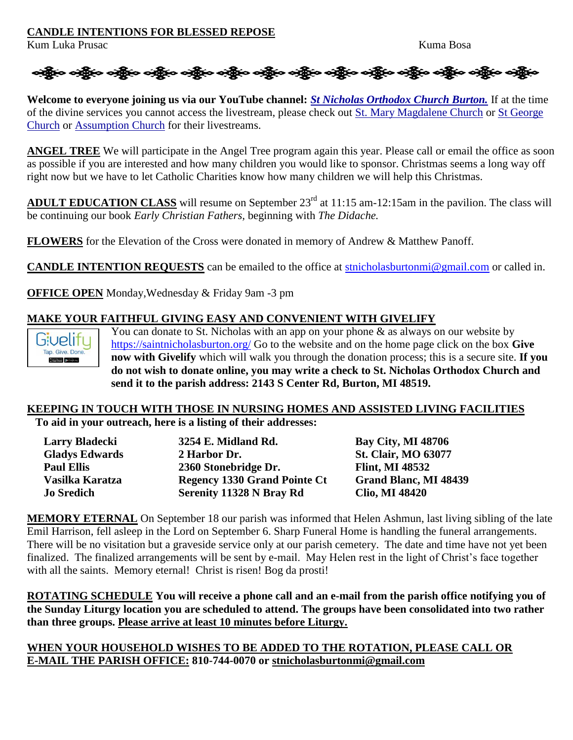#### **CANDLE INTENTIONS FOR BLESSED REPOSE**

Kum Luka Prusac Kuma Bosa



**Welcome to everyone joining us via our YouTube channel:** *[St Nicholas Orthodox Church Burton.](https://www.youtube.com/channel/UC59tV-Re443z-GCoETAUvfA)* If at the time of the divine services you cannot access the livestream, please check out [St. Mary Magdalene Church](https://www.youtube.com/channel/UClHAqZrWkXdYELujbbIslHg) or [St George](https://www.youtube.com/channel/UCpLWfxMIJK4uQOV41ekE6Wg/videos?view=2&flow=grid)  [Church](https://www.youtube.com/channel/UCpLWfxMIJK4uQOV41ekE6Wg/videos?view=2&flow=grid) or [Assumption Church](https://www.facebook.com/AssumptionGrandBlanc/) for their livestreams.

**ANGEL TREE** We will participate in the Angel Tree program again this year. Please call or email the office as soon as possible if you are interested and how many children you would like to sponsor. Christmas seems a long way off right now but we have to let Catholic Charities know how many children we will help this Christmas.

**ADULT EDUCATION CLASS** will resume on September 23<sup>rd</sup> at 11:15 am-12:15am in the pavilion. The class will be continuing our book *Early Christian Fathers,* beginning with *The Didache.*

**FLOWERS** for the Elevation of the Cross were donated in memory of Andrew & Matthew Panoff.

**CANDLE INTENTION REQUESTS** can be emailed to the office at [stnicholasburtonmi@gmail.com](mailto:stnicholasburtonmi@gmail.com) or called in.

**OFFICE OPEN** Monday,Wednesday & Friday 9am -3 pm

## **MAKE YOUR FAITHFUL GIVING EASY AND CONVENIENT WITH GIVELIFY**



You can donate to St. Nicholas with an app on your phone  $\&$  as always on our website by <https://saintnicholasburton.org/> Go to the website and on the home page click on the box **Give now with Givelify** which will walk you through the donation process; this is a secure site. **If you do not wish to donate online, you may write a check to St. Nicholas Orthodox Church and send it to the parish address: 2143 S Center Rd, Burton, MI 48519.**

# **KEEPING IN TOUCH WITH THOSE IN NURSING HOMES AND ASSISTED LIVING FACILITIES**

**To aid in your outreach, here is a listing of their addresses:**

| Larry Bladecki        | 3254 E. Midland Rd.                 | <b>Bay City, MI 48706</b>    |
|-----------------------|-------------------------------------|------------------------------|
| <b>Gladys Edwards</b> | 2 Harbor Dr.                        | <b>St. Clair, MO 63077</b>   |
| <b>Paul Ellis</b>     | 2360 Stonebridge Dr.                | <b>Flint, MI 48532</b>       |
| Vasilka Karatza       | <b>Regency 1330 Grand Pointe Ct</b> | <b>Grand Blanc, MI 48439</b> |
| <b>Jo Sredich</b>     | <b>Serenity 11328 N Bray Rd</b>     | <b>Clio, MI 48420</b>        |

**MEMORY ETERNAL** On September 18 our parish was informed that Helen Ashmun, last living sibling of the late Emil Harrison, fell asleep in the Lord on September 6. Sharp Funeral Home is handling the funeral arrangements. There will be no visitation but a graveside service only at our parish cemetery. The date and time have not yet been finalized. The finalized arrangements will be sent by e-mail. May Helen rest in the light of Christ's face together with all the saints. Memory eternal! Christ is risen! Bog da prosti!

**ROTATING SCHEDULE You will receive a phone call and an e-mail from the parish office notifying you of the Sunday Liturgy location you are scheduled to attend. The groups have been consolidated into two rather than three groups. Please arrive at least 10 minutes before Liturgy.**

**WHEN YOUR HOUSEHOLD WISHES TO BE ADDED TO THE ROTATION, PLEASE CALL OR E-MAIL THE PARISH OFFICE: 810-744-0070 or [stnicholasburtonmi@gmail.com](mailto:stnicholasburtonmi@gmail.com)**